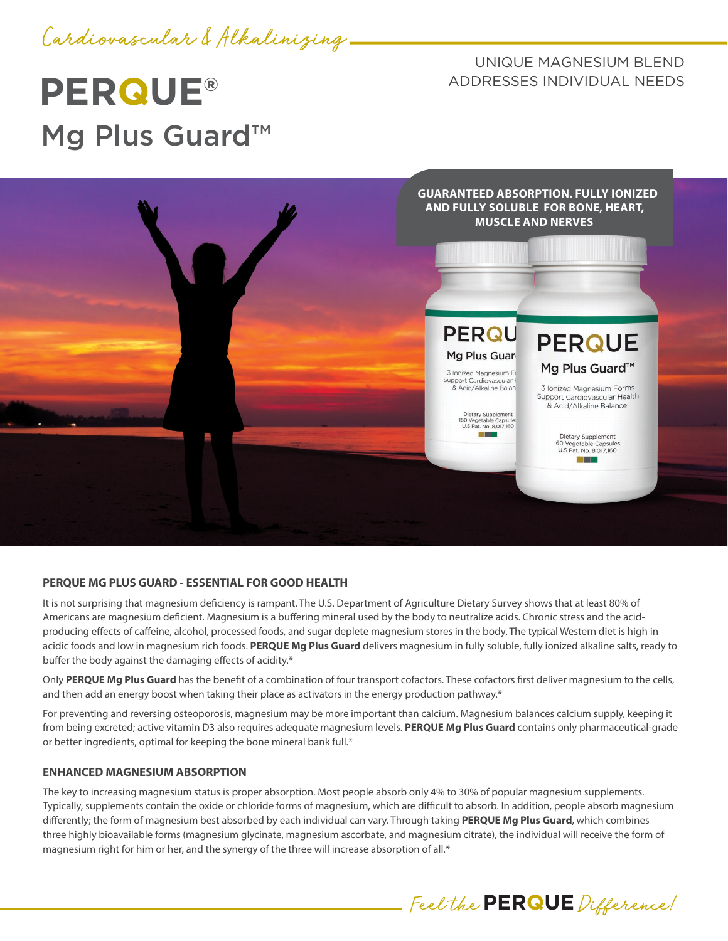

# **PERQUE®** Mg Plus Guard<sup>™</sup>

UNIQUE MAGNESIUM BLEND ADDRESSES INDIVIDUAL NEEDS



## **PERQUE MG PLUS GUARD - ESSENTIAL FOR GOOD HEALTH**

It is not surprising that magnesium deficiency is rampant. The U.S. Department of Agriculture Dietary Survey shows that at least 80% of Americans are magnesium deficient. Magnesium is a buffering mineral used by the body to neutralize acids. Chronic stress and the acidproducing effects of caffeine, alcohol, processed foods, and sugar deplete magnesium stores in the body. The typical Western diet is high in acidic foods and low in magnesium rich foods. **PERQUE Mg Plus Guard** delivers magnesium in fully soluble, fully ionized alkaline salts, ready to buffer the body against the damaging effects of acidity.\*

Only **PERQUE Mg Plus Guard** has the benefit of a combination of four transport cofactors. These cofactors first deliver magnesium to the cells, and then add an energy boost when taking their place as activators in the energy production pathway.\*

For preventing and reversing osteoporosis, magnesium may be more important than calcium. Magnesium balances calcium supply, keeping it from being excreted; active vitamin D3 also requires adequate magnesium levels. **PERQUE Mg Plus Guard** contains only pharmaceutical-grade or better ingredients, optimal for keeping the bone mineral bank full.\*

## **ENHANCED MAGNESIUM ABSORPTION**

The key to increasing magnesium status is proper absorption. Most people absorb only 4% to 30% of popular magnesium supplements. Typically, supplements contain the oxide or chloride forms of magnesium, which are difficult to absorb. In addition, people absorb magnesium differently; the form of magnesium best absorbed by each individual can vary. Through taking **PERQUE Mg Plus Guard**, which combines three highly bioavailable forms (magnesium glycinate, magnesium ascorbate, and magnesium citrate), the individual will receive the form of magnesium right for him or her, and the synergy of the three will increase absorption of all.\*